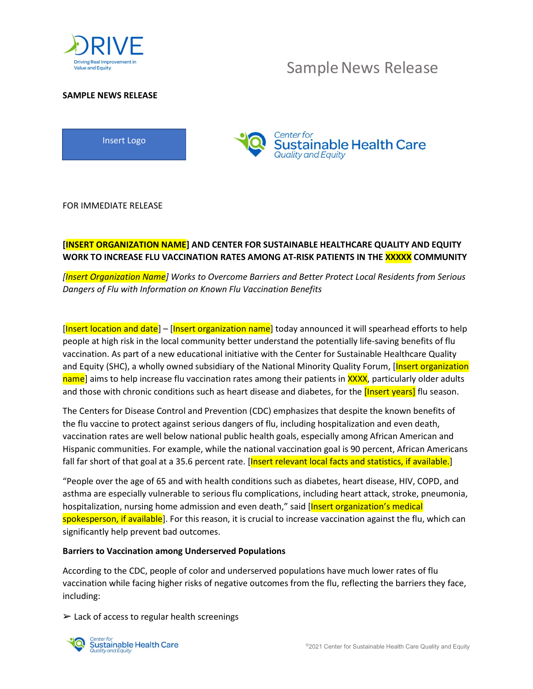

## Sample News Release

## SAMPLE NEWS RELEASE





FOR IMMEDIATE RELEASE

## [INSERT ORGANIZATION NAME] AND CENTER FOR SUSTAINABLE HEALTHCARE QUALITY AND EQUITY WORK TO INCREASE FLU VACCINATION RATES AMONG AT-RISK PATIENTS IN THE **XXXXX** COMMUNITY

[Insert Organization Name] Works to Overcome Barriers and Better Protect Local Residents from Serious Dangers of Flu with Information on Known Flu Vaccination Benefits

[Insert location and date] – [Insert organization name] today announced it will spearhead efforts to help people at high risk in the local community better understand the potentially life-saving benefits of flu vaccination. As part of a new educational initiative with the Center for Sustainable Healthcare Quality and Equity (SHC), a wholly owned subsidiary of the National Minority Quality Forum, [Insert organization] name] aims to help increase flu vaccination rates among their patients in XXXX, particularly older adults and those with chronic conditions such as heart disease and diabetes, for the *[Insert years]* flu season.

The Centers for Disease Control and Prevention (CDC) emphasizes that despite the known benefits of the flu vaccine to protect against serious dangers of flu, including hospitalization and even death, vaccination rates are well below national public health goals, especially among African American and Hispanic communities. For example, while the national vaccination goal is 90 percent, African Americans fall far short of that goal at a 35.6 percent rate. [Insert relevant local facts and statistics, if available.]

"People over the age of 65 and with health conditions such as diabetes, heart disease, HIV, COPD, and asthma are especially vulnerable to serious flu complications, including heart attack, stroke, pneumonia, hospitalization, nursing home admission and even death," said [Insert organization's medical spokesperson, if available]. For this reason, it is crucial to increase vaccination against the flu, which can significantly help prevent bad outcomes.

### Barriers to Vaccination among Underserved Populations

According to the CDC, people of color and underserved populations have much lower rates of flu vaccination while facing higher risks of negative outcomes from the flu, reflecting the barriers they face, including:

 $\triangleright$  Lack of access to regular health screenings

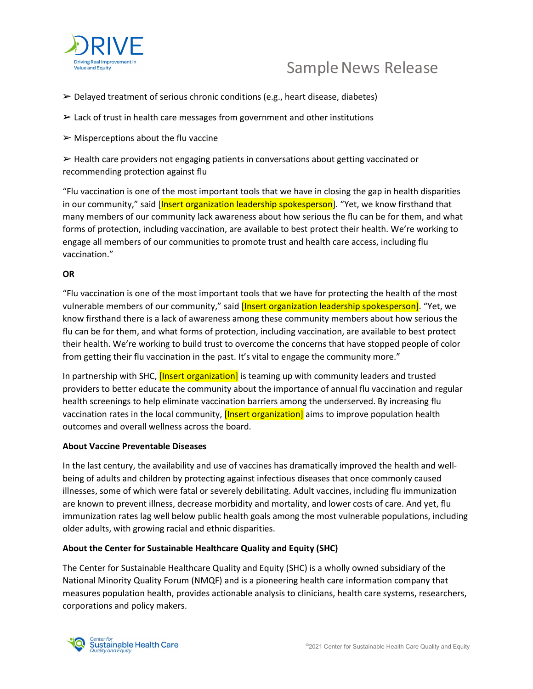

# Sample News Release

- $\triangleright$  Delayed treatment of serious chronic conditions (e.g., heart disease, diabetes)
- $\geq$  Lack of trust in health care messages from government and other institutions
- $\triangleright$  Misperceptions about the flu vaccine

 $\triangleright$  Health care providers not engaging patients in conversations about getting vaccinated or recommending protection against flu

"Flu vaccination is one of the most important tools that we have in closing the gap in health disparities in our community," said [Insert organization leadership spokesperson]. "Yet, we know firsthand that many members of our community lack awareness about how serious the flu can be for them, and what forms of protection, including vaccination, are available to best protect their health. We're working to engage all members of our communities to promote trust and health care access, including flu vaccination."

### **OR**

"Flu vaccination is one of the most important tools that we have for protecting the health of the most vulnerable members of our community," said *[Insert organization leadership spokesperson]*. "Yet, we know firsthand there is a lack of awareness among these community members about how serious the flu can be for them, and what forms of protection, including vaccination, are available to best protect their health. We're working to build trust to overcome the concerns that have stopped people of color from getting their flu vaccination in the past. It's vital to engage the community more."

In partnership with SHC, *[Insert organization]* is teaming up with community leaders and trusted providers to better educate the community about the importance of annual flu vaccination and regular health screenings to help eliminate vaccination barriers among the underserved. By increasing flu vaccination rates in the local community, *[Insert organization]* aims to improve population health outcomes and overall wellness across the board.

### About Vaccine Preventable Diseases

In the last century, the availability and use of vaccines has dramatically improved the health and wellbeing of adults and children by protecting against infectious diseases that once commonly caused illnesses, some of which were fatal or severely debilitating. Adult vaccines, including flu immunization are known to prevent illness, decrease morbidity and mortality, and lower costs of care. And yet, flu immunization rates lag well below public health goals among the most vulnerable populations, including older adults, with growing racial and ethnic disparities.

## About the Center for Sustainable Healthcare Quality and Equity (SHC)

The Center for Sustainable Healthcare Quality and Equity (SHC) is a wholly owned subsidiary of the National Minority Quality Forum (NMQF) and is a pioneering health care information company that measures population health, provides actionable analysis to clinicians, health care systems, researchers, corporations and policy makers.